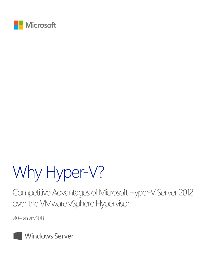

# Why Hyper-V?

Competitive Advantages of Microsoft Hyper-V Server 2012 over the VMware vSphere Hypervisor

v1.0-January 2013

Windows Server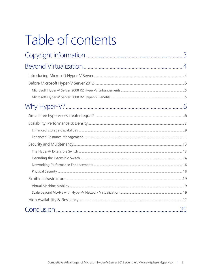# Table of contents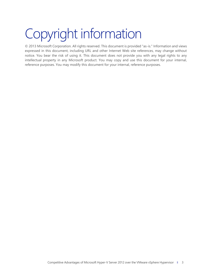# <span id="page-2-0"></span>Copyright information

© 2013 Microsoft Corporation. All rights reserved. This document is provided "as-is." Information and views expressed in this document, including URL and other Internet Web site references, may change without notice. You bear the risk of using it. This document does not provide you with any legal rights to any intellectual property in any Microsoft product. You may copy and use this document for your internal, reference purposes. You may modify this document for your internal, reference purposes.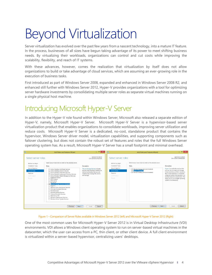# <span id="page-3-0"></span>Beyond Virtualization

Server virtualization has evolved over the past few years from a nascent technology, into a mature IT feature. In the process, businesses of all sizes have begun taking advantage of its power to meet shifting business needs. By virtualizing their workloads, organizations can control and cut costs while improving the scalability, flexibility, and reach of IT systems.

With these advances, however, comes the realization that virtualization by itself does not allow organizations to build or take advantage of cloud services, which are assuming an ever-growing role in the execution of business tasks.

First introduced as part of Windows Server 2008, expanded and enhanced in Windows Server 2008 R2, and enhanced still further with Windows Server 2012, Hyper-V provides organizations with a tool for optimizing server hardware investments by consolidating multiple server roles as separate virtual machines running on a single physical host machine.

## <span id="page-3-1"></span>Introducing Microsoft Hyper-V Server

In addition to the Hyper-V role found within Windows Server, Microsoft also released a separate edition of Hyper-V, namely, Microsoft Hyper-V Server. Microsoft Hyper-V Server is a hypervisor-based server virtualization product that enables organizations to consolidate workloads, improving server utilization and reduce costs. Microsoft Hyper-V Server is a dedicated, no-cost, standalone product that contains the hypervisor, Windows Server driver model, virtualization capabilities, and supporting components such as failover clustering, but does not contain the robust set of features and roles that the full Windows Server operating system has. As a result, Microsoft Hyper-V Server has a small footprint and minimal overhead.

| 昌                                                                                                                                       | <b>Add Roles and Features Wizard</b>                                                                                                                                                                                                                                                                                                                                                                                                                                                                                                                                                                                                                                          | $  \infty$                                                                                                                                                                                                                                        | 恳                                                                                                                                       | <b>Add Roles and Features Wizard</b>                                                                                                                                            | $  \mathbf{x}$                                                                                                                                                                                                                                                                                                                                                                              |
|-----------------------------------------------------------------------------------------------------------------------------------------|-------------------------------------------------------------------------------------------------------------------------------------------------------------------------------------------------------------------------------------------------------------------------------------------------------------------------------------------------------------------------------------------------------------------------------------------------------------------------------------------------------------------------------------------------------------------------------------------------------------------------------------------------------------------------------|---------------------------------------------------------------------------------------------------------------------------------------------------------------------------------------------------------------------------------------------------|-----------------------------------------------------------------------------------------------------------------------------------------|---------------------------------------------------------------------------------------------------------------------------------------------------------------------------------|---------------------------------------------------------------------------------------------------------------------------------------------------------------------------------------------------------------------------------------------------------------------------------------------------------------------------------------------------------------------------------------------|
| Select server roles<br>Before You Beain<br>Installation Type<br>Server Selection<br>Server Roles<br>Features<br>Confirmation<br>Results | Select one or more roles to install on the selected server.<br>Roles<br>Active Directory Certificate Services<br>Active Directory Domain Services<br><b>Active Directory Federation Services</b><br>Active Directory Lightweight Directory Services<br>Active Directory Rights Management Services<br><b>Application Server</b><br>п<br>DHCP Server<br>DNS Server<br><b>Fax Server</b><br><b>File And Storage Services (Installed)</b><br>п<br>Hyper-V<br>Network Policy and Access Services<br><b>Print and Document Services</b><br><b>Remote Access</b><br>Remote Desktop Services<br>Volume Activation Services<br>Web Server (IIS)<br><b>Windows Deployment Services</b> | DESTINATION SERVER<br>CON-DEMO08 contoso local<br><b>Description</b><br>File and Storage Services includes<br>services that are always installed, as<br>well as functionality that you can<br>install to help manage file servers<br>and storage. | Select server roles<br>Before You Beain<br>Installation Type<br>Server Selection<br>Server Roles<br>Features<br>Confirmation<br>Results | Select one or more roles to install on the selected server.<br>Roles<br>D V File And Storage Services (Installed)<br>Hyper-V (Installed)<br>Remote Desktop Services (Installed) | <b>DESTINATION SERVER</b><br>CON-HYPER-VS.contoso.local<br><b>Description</b><br>Hyper-V provides the services that<br>you can use to create and manage<br>virtual machines and their resources.<br>Each virtual machine is a virtualized<br>computer system that operates in an<br>isolated execution environment. This<br>allows you to run multiple operating<br>systems simultaneously. |
|                                                                                                                                         | Windows Server Update Services                                                                                                                                                                                                                                                                                                                                                                                                                                                                                                                                                                                                                                                |                                                                                                                                                                                                                                                   |                                                                                                                                         |                                                                                                                                                                                 |                                                                                                                                                                                                                                                                                                                                                                                             |
|                                                                                                                                         | < Previous<br>Next >                                                                                                                                                                                                                                                                                                                                                                                                                                                                                                                                                                                                                                                          | Install<br>Cancel                                                                                                                                                                                                                                 |                                                                                                                                         | < Previous<br>Next >                                                                                                                                                            | Install<br>Cancel                                                                                                                                                                                                                                                                                                                                                                           |



One of the most common uses for Microsoft Hyper-V Server 2012 is in Virtual Desktop Infrastructure (VDI) environments. VDI allows a Windows client operating system to run on server-based virtual machines in the datacenter, which the user can access from a PC, thin client, or other client device. A full client environment is virtualized within a server-based hypervisor, centralizing users' desktops.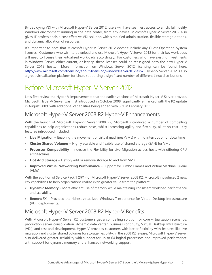By deploying VDI with Microsoft Hyper-V Server 2012, users will have seamless access to a rich, full fidelity Windows environment running in the data center, from any device. Microsoft Hyper-V Server 2012 also gives IT professionals a cost effective VDI solution with simplified administration, flexible storage options, and dynamic allocation of resources.

It's important to note that Microsoft Hyper-V Server 2012 doesn't include any Guest Operating System licenses. Customers who wish to download and use Microsoft Hyper-V Server 2012 for their key workloads will need to license their virtualized workloads accordingly. For customers who have existing investments in Windows Server, either current, or legacy, these licenses could be reassigned onto the new Hyper-V Server 2012 hosts. More information on Windows Server 2012 licensing can be found here: [http://www.microsoft.com/licensing/about-licensing/windowsserver2012.aspx.](http://www.microsoft.com/licensing/about-licensing/windowsserver2012.aspx) Hyper-V Server 2012 is also a great virtualization platform for Linux, supporting a significant number of different Linux distributions.

## <span id="page-4-0"></span>Before Microsoft Hyper-V Server 2012

Let's first review the Hyper-V improvements that the earlier versions of Microsoft Hyper-V Server provide. Microsoft Hyper-V Server was first introduced in October 2008, significantly enhanced with the R2 update in August 2009, with additional capabilities being added with SP1 in February 2011.

### <span id="page-4-1"></span>Microsoft Hyper-V Server 2008 R2 Hyper-V Enhancements

With the launch of Microsoft Hyper-V Server 2008 R2, Microsoft introduced a number of compelling capabilities to help organizations reduce costs, whilst increasing agility and flexibility, all at no cost. Key features introduced included:

- **Live Migration** Enabling the movement of virtual machines (VMs) with no interruption or downtime
- **Cluster Shared Volumes** Highly scalable and flexible use of shared storage (SAN) for VMs
- **Processor Compatibility** Increase the Flexibility for Live Migration across hosts with differing CPU architectures
- **Hot Add Storage** Flexibly add or remove storage to and from VMs
- **Improved Virtual Networking Performance** Support for Jumbo Frames and Virtual Machine Queue (VMq)

With the addition of Service Pack 1 (SP1) for Microsoft Hyper-V Server 2008 R2, Microsoft introduced 2 new, key capabilities to help organizations realize even greater value from the platform:

- **Dynamic Memory** More efficient use of memory while maintaining consistent workload performance and scalability.
- **RemoteFX** Provided the richest virtualized Windows 7 experience for Virtual Desktop Infrastructure (VDI) deployments.

## <span id="page-4-2"></span>Microsoft Hyper-V Server 2008 R2 Hyper-V Benefits

With Microsoft Hyper-V Server R2, customers get a compelling solution for core virtualization scenarios; production server consolidation, dynamic data center, business continuity, Virtual Desktop Infrastructure (VDI), and test and development. Hyper-V provides customers with better flexibility with features like live migration and cluster shared volumes for storage flexibility. In the 2008 R2 release, Microsoft Hyper-V Server also delivered greater scalability with support for up to 64 logical processors and improved performance with support for dynamic memory and enhanced networking support.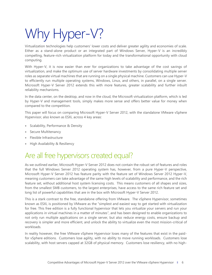# <span id="page-5-0"></span>Why Hyper-V?

Virtualization technologies help customers' lower costs and deliver greater agility and economies of scale. Either as a stand-alone product or an integrated part of Windows Server, Hyper-V is an incredibly compelling, feature-rich virtualization platform for today and the transformational opportunity with cloud computing.

With Hyper-V, it is now easier than ever for organizations to take advantage of the cost savings of virtualization, and make the optimum use of server hardware investments by consolidating multiple server roles as separate virtual machines that are running on a single physical machine. Customers can use Hyper-V to efficiently run multiple operating systems, Windows, Linux, and others, in parallel, on a single server. Microsoft Hyper-V Server 2012 extends this with more features, greater scalability and further inbuilt reliability mechanisms.

In the data center, on the desktop, and now in the cloud, the Microsoft virtualization platform, which is led by Hyper-V and management tools, simply makes more sense and offers better value for money when compared to the competition.

This paper will focus on comparing Microsoft Hyper-V Server 2012, with the standalone VMware vSphere Hypervisor, also known as ESXi, across 4 key areas:

- Scalability, Performance & Density
- Secure Multitenancy
- Flexible Infrastructure
- <span id="page-5-1"></span>High Availability & Resiliency

## Are all free hypervisors created equal?

As we outlined earlier, Microsoft Hyper-V Server 2012 does not contain the robust set of features and roles that the full Windows Server 2012 operating system has, however, from a pure Hyper-V perspective, Microsoft Hyper-V Server 2012 has feature parity with the feature set of Windows Server 2012 Hyper-V, meaning customers can take advantage of the same high levels of scalability and performance, and the rich feature set, without additional host system licensing costs. This means customers of all shapes and sizes, from the smallest SMB customers, to the largest enterprises, have access to the same rich feature set and long list of powerful capabilities that are in the box with Microsoft Hyper-V Server 2012.

This is a stark contrast to the free, standalone offering from VMware. The vSphere Hypervisor, sometimes known as ESXi, is positioned by VMware as the "simplest and easiest way to get started with virtualization for free. This free edition is a fully functional hypervisor that lets you virtualize your servers and run your applications in virtual machines in a matter of minutes", and has been designed to enable organizations to not only run multiple applications on a single server, but also reduce energy costs, ensure backup and recovery is simpler and more efficient, and unlock the ability to virtualize even the most mission-critical of workloads.

In reality however, the free VMware vSphere Hypervisor loses many of the features that exist in the paidfor vSphere editions. Customers lose agility, with no ability to move running workloads. Customers lose scalability, with host servers capped at 32GB of physical memory. Customers lose resiliency, with no high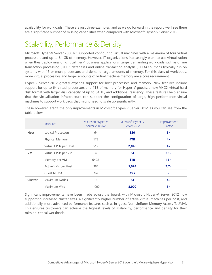availability for workloads. These are just three examples, and as we go forward in the report, we'll see there are a significant number of missing capabilities when compared with Microsoft Hyper-V Server 2012.

## <span id="page-6-0"></span>Scalability, Performance & Density

Microsoft Hyper-V Server 2008 R2 supported configuring virtual machines with a maximum of four virtual processors and up to 64 GB of memory. However, IT organizations increasingly want to use virtualization when they deploy mission-critical, tier-1 business applications. Large, demanding workloads such as online transaction processing (OLTP) databases and online transaction analysis (OLTA) solutions typically run on systems with 16 or more processors and demand large amounts of memory. For this class of workloads, more virtual processors and larger amounts of virtual machine memory are a core requirement.

Hyper-V Server 2012 greatly expands support for host processors and memory. New features include support for up to 64 virtual processors and 1TB of memory for Hyper-V guests, a new VHDX virtual hard disk format with larger disk capacity of up to 64 TB, and additional resiliency. These features help ensure that the virtualization infrastructure can support the configuration of large, high-performance virtual machines to support workloads that might need to scale up significantly.

|                | Resource              | Microsoft Hyper-V<br>Server 2008 R2 | Microsoft Hyper-V<br>Server 2012 | Improvement<br>Factor |
|----------------|-----------------------|-------------------------------------|----------------------------------|-----------------------|
| <b>Host</b>    | Logical Processors    | 64                                  | 320                              | 5x                    |
|                | Physical Memory       | 1TB                                 | 4TB                              | 4x                    |
|                | Virtual CPUs per Host | 512                                 | 2,048                            | 4x                    |
| <b>VM</b>      | Virtual CPUs per VM   | $\overline{4}$                      | 64                               | 16x                   |
|                | Memory per VM         | 64GB                                | 1TB                              | 16x                   |
|                | Active VMs per Host   | 384                                 | 1,024                            | $2.7\times$           |
|                | <b>Guest NUMA</b>     | <b>No</b>                           | <b>Yes</b>                       | ٠                     |
| <b>Cluster</b> | Maximum Nodes         | 16                                  | 64                               | 4x                    |
|                | Maximum VMs           | 1,000                               | 8,000                            | $8\times$             |

These however, aren't the only improvements in Microsoft Hyper-V Server 2012, as you can see from the table below:

Significant improvements have been made across the board, with Microsoft Hyper-V Server 2012 now supporting increased cluster sizes, a significantly higher number of active virtual machines per host, and additionally, more advanced performance features such as in-guest Non-Uniform Memory Access (NUMA). This ensures customers can achieve the highest levels of scalability, performance and density for their mission-critical workloads.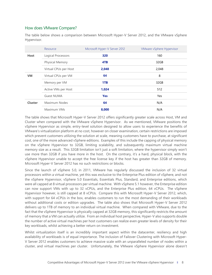#### How does VMware Compare?

The table below shows a comparison between Microsoft Hyper-V Server 2012, and the VMware vSphere Hypervisor.

|                | Resource               | Microsoft Hyper-V Server 2012 | VMware vSphere Hypervisor |
|----------------|------------------------|-------------------------------|---------------------------|
| <b>Host</b>    | Logical Processors     | 320                           | 160                       |
|                | <b>Physical Memory</b> | 4TB                           | 32GB                      |
|                | Virtual CPUs per Host  | 2,048                         | 2,048                     |
| <b>VM</b>      | Virtual CPUs per VM    | 64                            | 8                         |
|                | Memory per VM          | 1TB                           | 32GB                      |
|                | Active VMs per Host    | 1,024                         | 512                       |
|                | <b>Guest NUMA</b>      | <b>Yes</b>                    | Yes                       |
| <b>Cluster</b> | Maximum Nodes          | 64                            | N/A                       |
|                | Maximum VMs            | 8,000                         | N/A                       |

The table shows that Microsoft Hyper-V Server 2012 offers significantly greater scale across Host, VM and Cluster when compared with the VMware vSphere Hypervisor. As we mentioned, VMware positions the vSphere Hypervisor as simple, entry-level solution designed to allow users to experience the benefits of VMware's virtualization platform at no cost, however on closer examination, certain restrictions are imposed which prevent customers utilizing the solution at scale, meaning customers have to purchase, at significant cost, one of the more advanced vSphere editions. Examples of this include the capping of physical memory on the vSphere Hypervisor to 32GB, limiting scalability, and subsequently maximum virtual machine memory size as a result. This 32GB limitation isn't just a soft limitation, where the hypervisor simply won't use more than 32GB if you have more in the host. On the contrary, it's a hard, physical block, with the vSphere Hypervisor unable to accept the free license key if the host has greater than 32GB of memory. Microsoft Hyper-V Server 2012 has no such restrictions or blocks.

Since the launch of vSphere 5.0, in 2011, VMware has regularly discussed the inclusion of 32 virtual processors within a virtual machine, yet this was exclusive to the Enterprise Plus edition of vSphere, and not the vSphere Hypervisor, vSphere 5.0 Essentials, Essentials Plus, Standard, and Enterprise editions, which were all capped at 8 virtual processors per virtual machine. With vSphere 5.1 however, the Enterprise edition can now support VMs with up to 32 vCPUs, and the Enterprise Plus edition, 64 vCPUs. The vSphere Hypervisor however, is still capped at 8 vCPUs. Compare this with Microsoft Hyper-V Server 2012, which, with support for 64 vCPUs in the box, enables customers to run the most demanding of their workloads without additional costs or edition upgrades. The table also shows that Microsoft Hyper-V Server 2012 delivers up to 1TB of memory to an individual virtual machine. When compared with VMware, due to the fact that the vSphere Hypervisor is physically capped at 32GB memory, this significantly restricts the amount of memory that a VM can actually utilize. From an individual host perspective, Hyper-V also supports double the number of active virtual machines per host customers can realize even greater levels of density for their key workloads, whilst achieving a better return on investment.

Whilst virtualization itself is an incredibly important aspect within the datacenter, resiliency and high availability of workloads is of equal importance. The inclusion of Failover Clustering with Microsoft Hyper-V Server 2012 enables customers to achieve massive scale with an unparalleled number of nodes within a cluster, and virtual machines per cluster. Unfortunately, the VMware vSphere Hypervisor alone doesn't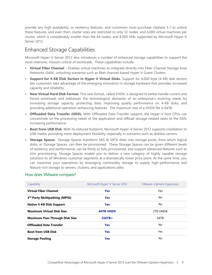provide any high availability, or resiliency features, and customers must purchase vSphere 5.1 to unlock these features, and even then, cluster sizes are restricted to only 32 nodes, and 4,000 virtual machines per cluster, which is considerably smaller than the 64 nodes, and 8,000 VMs supported by Microsoft Hyper-V Server 2012.

## <span id="page-8-0"></span>Enhanced Storage Capabilities

Microsoft Hyper-V Server 2012 also introduces a number of enhanced storage capabilities to support the most intensive, mission-critical of workloads. These capabilities include:

- **Virtual Fiber Channel** Enables virtual machines to integrate directly into Fiber Channel Storage Area Networks (SAN), unlocking scenarios such as fiber channel-based Hyper-V Guest Clusters.
- **Support for 4-KB Disk Sectors in Hyper-V Virtual Disks.** Support for 4,000-byte (4-KB) disk sectors lets customers take advantage of the emerging innovation in storage hardware that provides increased capacity and reliability.
- **New Virtual Hard Disk Format.** This new format, called VHDX, is designed to better handle current and future workloads and addresses the technological demands of an enterprise's evolving needs by increasing storage capacity, protecting data, improving quality performance on 4-KB disks, and providing additional operation-enhancing features. The maximum size of a VHDX file is 64TB.
- **Offloaded Data Transfer (ODX).** With Offloaded Data Transfer support, the Hyper-V host CPUs can concentrate on the processing needs of the application and offload storage-related tasks to the SAN, increasing performance.
- **Boot from USB Disk**. With its reduced footprint, Microsoft Hyper-V Server 2012 supports installation to USB media, providing more deployment flexibility, especially in scenarios such as diskless servers.
- **Storage Spaces**. Storage Spaces transform SAS & SATA disks into storage pools, from which logical disks, or Storage Spaces, can then be provisioned. These Storage Spaces can be given different levels of resiliency and performance, can be thinly or fully provisioned, and support advanced features such as trim provisioning. Storage Spaces enable you to deliver a new category of highly capable storage solutions to all Windows customer segments at a dramatically lower price point. At the same time, you can maximize your operations by leveraging commodity storage to supply high-performance and feature-rich storage to servers, clusters, and applications alike.

| Capability                            | Microsoft Hyper-V Server 2012 | VMware vSphere Hypervisor |
|---------------------------------------|-------------------------------|---------------------------|
| <b>Virtual Fiber Channel</b>          | <b>Yes</b>                    | Yes                       |
| 3rd Party Multipathing (MPIO)         | <b>Yes</b>                    | No                        |
| <b>Native 4-KB Disk Support</b>       | <b>Yes</b>                    | No.                       |
| <b>Maximum Virtual Disk Size</b>      | <b>64TB VHDX</b>              | 2TB VMDK                  |
| <b>Maximum Pass Through Disk Size</b> | $256TB+$                      | 64TB                      |
| <b>Offloaded Data Transfer</b>        | <b>Yes</b>                    | No                        |
| <b>Boot from USB Disk</b>             | <b>Yes</b>                    | Yes                       |
| <b>Storage Pooling</b>                | <b>Yes</b>                    | No                        |

#### How does VMware compare?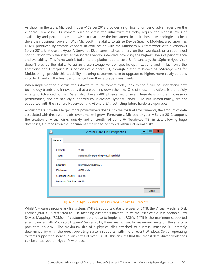As shown in the table, Microsoft Hyper-V Server 2012 provides a significant number of advantages over the vSphere Hypervisor. Customers building virtualized infrastructures today require the highest levels of availability and performance, and wish to maximize the investment in their chosen technologies to help drive their business forward. With Microsoft, the ability to utilize Device Specific Modules, also known as DSMs, produced by storage vendors, in conjunction with the Multipath I/O framework within Windows Server 2012 & Microsoft Hyper-V Server 2012, ensures that customers run their workloads on an optimized configuration from the start, as the storage vendor intended, providing the highest levels of performance and availability. This framework is built into the platform, at no cost. Unfortunately, the vSphere Hypervisor doesn't provide the ability to utilize these storage vendor specific optimizations, and in fact, only the Enterprise and Enterprise Plus editions of vSphere 5.1, through a feature known as 'vStorage APIs for Multipathing', provide this capability, meaning customers have to upgrade to higher, more costly editions in order to unlock the best performance from their storage investments.

When implementing a virtualized infrastructure, customers today look to the future to understand new technology trends and innovations that are coming down the line. One of those innovations is the rapidly emerging Advanced Format Disks, which have a 4KB physical sector size. These disks bring an increase in performance, and are natively supported by Microsoft Hyper-V Server 2012, but unfortunately, are not supported with the vSphere Hypervisor and vSphere 5.1, restricting future hardware upgrades.

As customers introduce larger, more powerful workloads into their virtual environments, the amount of data associated with these workloads, over time, will grow. Fortunately, Microsoft Hyper-V Server 2012 supports the creation of virtual disks, quickly and efficiently, of up to 64 Terabytes (TB) in size, allowing huge databases, file repositories or document archives to be stored within individual disks.

|                          | Virtual Hard Disk Properties            | □     | x |
|--------------------------|-----------------------------------------|-------|---|
| General                  |                                         |       |   |
|                          |                                         |       |   |
| Format:                  | <b>VHDX</b>                             |       |   |
| Type:                    | Dynamically expanding virtual hard disk |       |   |
|                          |                                         |       |   |
| Location:                | E: WMs \CON-DEMO01                      |       |   |
| File Name:               | 64TB.vhdx                               |       |   |
| Current File Size:       | 820 MB                                  |       |   |
| Maximum Disk Size: 64 TB |                                         |       |   |
|                          |                                         |       |   |
|                          |                                         | Close |   |



Whilst VMware's proprietary file system, VMFS5, supports datastore sizes of 64TB, the Virtual Machine Disk Format (VMDK), is restricted to 2TB, meaning customers have to utilize the less flexible, less portable Raw Device Mappings (RDMs). If customers do choose to implement RDMs, 64TB is the maximum supported size, however with Microsoft Hyper-V Server 2012, there are no specific maximum limits on the size of a pass through disk. The maximum size of a physical disk attached to a virtual machine is ultimately determined by what the guest operating system supports, with more recent Windows Server operating systems supporting individual disk sizes of over 256TB. This ensures that the largest data-driven workloads can be virtualized on Hyper-V with ease.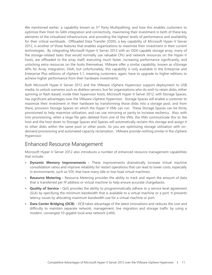We mentioned earlier, a capability known as  $3<sup>rd</sup>$  Party Multipathing, and how this enables customers to optimize their Host-to-SAN integration and connectivity, maximizing their investment in both of these key elements of the virtualized infrastructure, and providing the highest levels of performance and availability for their critical workloads. Offloaded Data Transfer (ODX), a key capability of Microsoft Hyper-V Server 2012, is another of those features that enables organizations to maximize their investment in their current technologies. By integrating Microsoft Hyper-V Server 2012 with an ODX-capable storage array, many of the storage-related tasks that would normally use valuable CPU and network resources on the Hyper-V hosts, are offloaded to the array itself, executing much faster, increasing performance significantly, and unlocking extra resources on the hosts themselves. VMware offer a similar capability, known as vStorage APIs for Array Integration, VAAI, but unfortunately, this capability is only available in the Enterprise and Enterprise Plus editions of vSphere 5.1, meaning customers, again, have to upgrade to higher editions to achieve higher performance from their hardware investments.

Both Microsoft Hyper-V Server 2012 and the VMware vSphere Hypervisor support deployment to USB media, to unlock scenarios such as diskless servers, but for organizations who do wish to retain disks, either spinning or flash-based, inside their hypervisor hosts, Microsoft Hyper-V Server 2012, with Storage Spaces, has significant advantages over the VMware vSphere Hypervisor. Storage Spaces will enable a customer to maximize their investment in their hardware by transforming those disks into a storage pool, and from there, provision Storage Spaces on which the Hyper-V VMs can run. These Storage Spaces can be thinly provisioned to help maximize utilization, and can use mirroring or parity to increase resiliency. Also, with trim provisioning, when a large file gets deleted from one of the VMs, the VMs communicate this to the host and the host down to Storage Spaces and Spaces will automatically reclaim this storage and assign it to other disks within the same pool or other pools. So you are optimizing storage utilization with ondemand provisioning and automated capacity reclamation. VMware provide nothing similar in the vSphere Hypervisor.

### <span id="page-10-0"></span>Enhanced Resource Management

Microsoft Hyper-V Server 2012 also introduces a number of enhanced resource management capabilities that include:

- **Dynamic Memory Improvements -** These improvements dramatically increase virtual machine consolidation ratios and improve reliability for restart operations that can lead to lower costs, especially in environments, such as VDI, that have many idle or low-load virtual machines.
- **Resource Metering -** Resource Metering provides the ability to track and report the amount of data that is transferred per IP address or virtual machine to help ensure accurate chargebacks.
- **Quality of Service -** QoS provides the ability to programmatically adhere to a service level agreement (SLA) by specifying the minimum bandwidth that is available to a virtual machine or a port. It prevents latency issues by allocating maximum bandwidth use for a virtual machine or port.
- **Data Center Bridging (DCB) -** DCB takes advantage of the latest innovations and reduces the cost and difficulty to maintain separate network, management, live migration and storage traffic by using a modern, converged 10-gigabit local area network (LAN).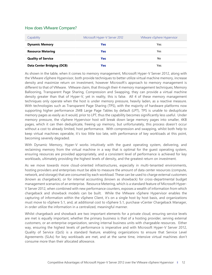#### How does VMware Compare?

| Capability                        | Microsoft Hyper-V Server 2012 | VMware vSphere Hypervisor |
|-----------------------------------|-------------------------------|---------------------------|
| <b>Dynamic Memory</b>             | Yes                           | Yes                       |
| <b>Resource Metering</b>          | Yes                           | Yes                       |
| <b>Quality of Service</b>         | Yes                           | No                        |
| <b>Data Center Bridging (DCB)</b> | Yes                           | Yes                       |

As shown in the table, when it comes to memory management, Microsoft Hyper-V Server 2012, along with the VMware vSphere Hypervisor, both provide techniques to better utilize virtual machine memory, increase density and maximize return on investment, however Microsoft's approach to memory management is different to that of VMware. VMware claim, that through their 4 memory management techniques; Memory Ballooning, Transparent Page Sharing, Compression and Swapping, they can provide a virtual machine density greater than that of Hyper-V, yet in reality, this is false. All 4 of these memory management techniques only operate when the host is under memory pressure, heavily laden, as a reactive measure. With technologies such as Transparent Page Sharing (TPS), with the majority of hardware platforms now supporting higher performance 2MB Large Page Tables by default (LPT), TPS is unable to deduplicate memory pages as easily as it would, prior to LPT, thus the capability becomes significantly less useful. Under memory pressure, the vSphere Hypervisor host will break down large memory pages into smaller, 4KB pages, which it can then deduplicate, freeing up memory, but unfortunately, this process doesn't occur without a cost to already limited, host performance. With compression and swapping, whilst both help to keep virtual machines operable, it's too little too late, with performance of key workloads at this point, becoming severely degraded.

With Dynamic Memory, Hyper-V works intuitively with the guest operating system, delivering, and reclaiming memory from the virtual machine in a way that is optimal for the guest operating system, ensuring resources are provided appropriately, and a consistent level of performance is achieved for key workloads, ultimately providing the highest levels of density, and the greatest return on investment.

As we move towards more cloud-oriented infrastructures, especially in multi-tenanted environments, hosting providers and enterprises must be able to measure the amount of data center resources (compute, network, and storage) that are consumed by each workload. These can be used to charge external customers (known as chargeback), or for internal accounting (known as showback) for cross-departmental budget management scenarios of an enterprise. Resource Metering, which is a standard feature of Microsoft Hyper-V Server 2012, when combined with new performance counters, exposes a wealth of information from which chargeback and showback models can be built. While the VMware vSphere Hypervisor enables the capturing of information within the vSphere Client, it's on a single host by host basis, and organizations must move to vSphere 5.1, and, at additional cost to vSphere 5.1, purchase vCenter Chargeback Manager, in order utilize the information in a centralized, meaningful manner.

Whilst chargeback and showback are two important elements for a private cloud, ensuring service levels are met is equally important, whether the primary business is that of a hosting provider, serving external customers, or an enterprise organization, serving internal business units with chargeable resources. Either way, ensuring the highest levels of performance is imperative and with Microsoft Hyper-V Server 2012, Quality of Service (QoS) is a standard feature, enabling organizations to ensure that Service Level Agreements (SLAs) for key workloads are met, and at the same time, intensive virtual machines don't consume more than their allocated allowance.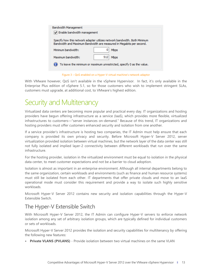| <b>Bandwidth Management</b><br>Enable bandwidth management                                                                                        |  |  |
|---------------------------------------------------------------------------------------------------------------------------------------------------|--|--|
| Specify how this network adapter utilizes network bandwidth. Both Minimum<br>Bandwidth and Maximum Bandwidth are measured in Megabits per second. |  |  |
| Minimum bandwidth:<br><b>Mbps</b>                                                                                                                 |  |  |
| 512<br>Maximum bandwidth:<br><b>Mbps</b>                                                                                                          |  |  |
| To leave the minimum or maximum unrestricted, specify 0 as the value.                                                                             |  |  |

Figure 3 – QoS enabled on a Hyper-V virtual machine's network adaptor

With VMware however, QoS isn't available in the vSphere Hypervisor. In fact, it's only available in the Enterprise Plus edition of vSphere 5.1, so for those customers who wish to implement stringent SLAs, customers must upgrade, at additional cost, to VMware's highest edition.

## <span id="page-12-0"></span>Security and Multitenancy

Virtualized data centers are becoming more popular and practical every day. IT organizations and hosting providers have begun offering infrastructure as a service (IaaS), which provides more flexible, virtualized infrastructures to customers—"server instances on-demand." Because of this trend, IT organizations and hosting providers must offer customers enhanced security and isolation from one another.

If a service provider's infrastructure is hosting two companies, the IT Admin must help ensure that each company is provided its own privacy and security. Before Microsoft Hyper-V Server 2012, server virtualization provided isolation between virtual machines, but the network layer of the data center was still not fully isolated and implied layer-2 connectivity between different workloads that run over the same infrastructure.

For the hosting provider, isolation in the virtualized environment must be equal to isolation in the physical data center, to meet customer expectations and not be a barrier to cloud adoption.

Isolation is almost as important in an enterprise environment. Although all internal departments belong to the same organization, certain workloads and environments (such as finance and human resource systems) must still be isolated from each other. IT departments that offer private clouds and move to an IaaS operational mode must consider this requirement and provide a way to isolate such highly sensitive workloads.

Microsoft Hyper-V Server 2012 contains new security and isolation capabilities through the Hyper-V Extensible Switch.

#### <span id="page-12-1"></span>The Hyper-V Extensible Switch

With Microsoft Hyper-V Server 2012, the IT Admin can configure Hyper-V servers to enforce network isolation among any set of arbitrary isolation groups, which are typically defined for individual customers or sets of workloads.

Microsoft Hyper-V Server 2012 provides the isolation and security capabilities for multitenancy by offering the following new features:

**Private VLANS (PVLANS)** - Provide isolation between two virtual machines on the same VLAN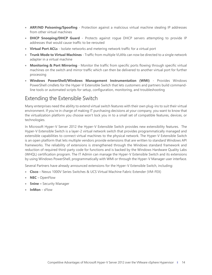- **ARP/ND Poisoning/Spoofing** Protection against a malicious virtual machine stealing IP addresses from other virtual machines
- **DHCP Snooping/DHCP Guard** Protects against rogue DHCP servers attempting to provide IP addresses that would cause traffic to be rerouted
- **Virtual Port ACLs** Isolate networks and metering network traffic for a virtual port
- **Trunk Mode to Virtual Machines** Traffic from multiple VLANs can now be directed to a single network adapter in a virtual machine
- **Monitoring & Port Mirroring** Monitor the traffic from specific ports flowing through specific virtual machines on the switch and mirror traffic which can then be delivered to another virtual port for further processing
- **Windows PowerShell/Windows Management Instrumentation (WMI)** Provides Windows PowerShell cmdlets for the Hyper-V Extensible Switch that lets customers and partners build commandline tools or automated scripts for setup, configuration, monitoring, and troubleshooting

### <span id="page-13-0"></span>Extending the Extensible Switch

Many enterprises need the ability to extend virtual switch features with their own plug-ins to suit their virtual environment. If you're in charge of making IT purchasing decisions at your company, you want to know that the virtualization platform you choose won't lock you in to a small set of compatible features, devices, or technologies.

In Microsoft Hyper-V Server 2012 the Hyper-V Extensible Switch provides new extensibility features. The Hyper-V Extensible Switch is a layer-2 virtual network switch that provides programmatically managed and extensible capabilities to connect virtual machines to the physical network. The Hyper-V Extensible Switch is an open platform that lets multiple vendors provide extensions that are written to standard Windows API frameworks. The reliability of extensions is strengthened through the Windows standard framework and reduction of required third-party code for functions and is backed by the Windows Hardware Quality Labs (WHQL) certification program. The IT Admin can manage the Hyper-V Extensible Switch and its extensions by using Windows PowerShell, programmatically with WMI or through the Hyper-V Manager user interface.

Several Partners have already announced extensions for the Hyper-V Extensible Switch, including:

- **Cisco -** Nexus 1000V Series Switches & UCS Virtual Machine Fabric Extender (VM-FEX)
- **NEC -** OpenFlow
- **5nine –** Security Manager
- **InMon -** sFlow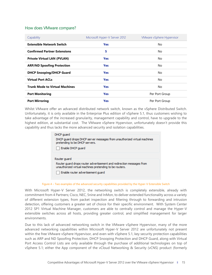#### How does VMware compare?

| Capability                            | Microsoft Hyper-V Server 2012 | VMware vSphere Hypervisor |
|---------------------------------------|-------------------------------|---------------------------|
| <b>Extensible Network Switch</b>      | <b>Yes</b>                    | No                        |
| <b>Confirmed Partner Extensions</b>   | 5                             | No.                       |
| <b>Private Virtual LAN (PVLAN)</b>    | <b>Yes</b>                    | No                        |
| <b>ARP/ND Spoofing Protection</b>     | <b>Yes</b>                    | No.                       |
| <b>DHCP Snooping/DHCP Guard</b>       | <b>Yes</b>                    | No.                       |
| <b>Virtual Port ACLs</b>              | <b>Yes</b>                    | No.                       |
| <b>Trunk Mode to Virtual Machines</b> | <b>Yes</b>                    | No                        |
| <b>Port Monitoring</b>                | <b>Yes</b>                    | Per Port Group            |
| <b>Port Mirroring</b>                 | <b>Yes</b>                    | Per Port Group            |

Whilst VMware offer an advanced distributed network switch, known as the vSphere Distributed Switch. Unfortunately, it is only available in the Enterprise Plus edition of vSphere 5.1, thus customers wishing to take advantage of the increased granularity, management capability and control, have to upgrade to the highest edition, at substantial cost. The VMware vSphere Hypervisor, unfortunately doesn't provide this capability and thus lacks the more advanced security and isolation capabilities.

| DHCP quard<br>DHCP quard drops DHCP server messages from unauthorized virtual machines<br>pretending to be DHCP servers.         |
|----------------------------------------------------------------------------------------------------------------------------------|
| Enable DHCP quard<br>Router guard                                                                                                |
|                                                                                                                                  |
| Router quard drops router advertisement and redirection messages from<br>unauthorized virtual machines pretending to be routers. |
| Enable router advertisement quard                                                                                                |

#### Figure 4 – Two examples of the advanced security capabilities provided by the Hyper-V Extensible Switch

With Microsoft Hyper-V Server 2012, the networking switch is completely extensible, already with commitment from 4 Partners; Cisco, NEC, 5nine and InMon, to deliver extended functionality across a variety of different extension types, from packet inspection and filtering through to forwarding and intrusion detection, offering customers a greater set of choice for their specific environment. With System Center 2012 SP1 Virtual Machine Manager, customers are able to centrally control and manage the Hyper-V extensible switches across all hosts, providing greater control, and simplified management for larger environments.

Due to this lack of advanced networking switch in the VMware vSphere Hypervisor, many of the more advanced networking capabilities within Microsoft Hyper-V Server 2012 are unfortunately not present within the free VMware vSphere Hypervisor, and even with vSphere 5.1, key security protection capabilities such as ARP and ND Spoofing Protection, DHCP Snooping Protection and DHCP Guard, along with Virtual Port Access Control Lists are only available through the purchase of additional technologies on top of vSphere 5.1; either the App component of the vCloud Networking & Security (vCNS) product (formerly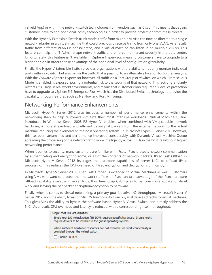vShield App) or within the network switch technologies from vendors such as Cisco. This means that again, customers have to add additional, costly technologies in order to provide protection from these threats.

With the Hyper-V Extensible Switch trunk mode, traffic from multiple VLANs can now be directed to a single network adapter in a virtual machine that could previously receive traffic from only one VLAN. As a result, traffic from different VLANs is consolidated, and a virtual machine can listen in on multiple VLANs. This feature can help the IT Admin shape network traffic and enforce multitenant security in the data center. Unfortunately, this feature isn't available in vSphere Hypervisor, meaning customers have to upgrade to a higher edition in order to take advantage of the additional level of configuration granularity.

Finally, the Hyper-V Extensible Switch provides organizations with the ability to not only monitor individual ports within a vSwitch, but also mirror the traffic that is passing, to an alternative location for further analysis. With the VMware vSphere Hypervisor however, all traffic on a Port Group or vSwitch, on which 'Promiscuous Mode' is enabled, is exposed, posing a potential risk to the security of that network. This lack of granularity restricts it's usage in real world environments, and means that customers who require this level of protection have to upgrade to vSphere 5.1 Enterprise Plus, which has the Distributed Switch technology to provide the capability through features such as NetFlow and Port Mirroring.

### <span id="page-15-0"></span>Networking Performance Enhancements

Microsoft Hyper-V Server 2012 also includes a number of performance enhancements within the networking stack to help customers virtualize their most intensive workloads. Virtual Machine Queue, introduced in Windows Server 2008 R2 Hyper-V, enables, when combined with VMq-capable network hardware, a more streamlined and efficient delivery of packets from the external network to the virtual machine, reducing the overhead on the host operating system. In Microsoft Hyper-V Server 2012 however, this has been streamlined and performance improved considerably, with Dynamic Virtual Machine Queue spreading the processing of the network traffic more intelligently across CPUs in the host, resulting in higher networking performance.

When it comes to security, many customers are familiar with IPsec. IPsec protects network communication by authenticating and encrypting some, or all of the contents of network packets. IPsec Task Offload in Microsoft Hyper-V Server 2012 leverages the hardware capabilities of server NICs to offload IPsec processing. This reduces the CPU overhead of IPsec encryption and decryption significantly.

In Microsoft Hyper-V Server 2012, IPsec Task Offload is extended to Virtual Machines as well. Customers using VMs who want to protect their network traffic with IPsec can take advantage of the IPsec hardware offload capability available in server NICs, thus freeing up CPU cycles to perform more application-level work and leaving the per packet encryption/decryption to hardware.

Finally, when it comes to virtual networking, a primary goal is native I/O throughput. Microsoft Hyper-V Server 2012 adds the ability to assign SR-IOV functionality from physical devices directly to virtual machines. This gives VMs the ability to bypass the software-based Hyper-V Virtual Switch, and directly address the NIC. As a result, CPU overhead and latency is reduced, with a corresponding rise in throughput.

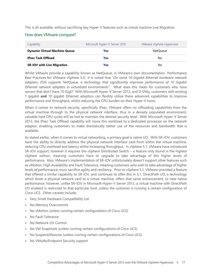This is all available, without sacrificing key Hyper-V features such as virtual machine Live Migration.

#### How does VMware compare?

| Capability                           | Microsoft Hyper-V Server 2012 | VMware vSphere Hypervisor |
|--------------------------------------|-------------------------------|---------------------------|
| <b>Dynamic Virtual Machine Queue</b> | Yes                           | NetOueue                  |
| <b>IPsec Task Offload</b>            | Yes                           | No                        |
| <b>SR-IOV with Live Migration</b>    | Yes                           | No                        |

Whilst VMware provide a capability known as NetQueue, in VMware's own documentation, 'Performance Best Practices for VMware vSphere 5.0', it is noted that "*On some 10 Gigabit Ethernet hardware network adapters, ESXi supports NetQueue, a technology that significantly improves performance of 10 Gigabit Ethernet network adapters in virtualized environments*". What does this mean for customers who have servers that don't have 10 GigE? With Microsoft Hyper-V Server 2012, and D-VMq, customers with existing 1 gigabit **and** 10 gigabit Ethernet adaptors can flexibly utilize these advanced capabilities to improve performance and throughput, whilst reducing the CPU burden on their Hyper-V hosts.

When it comes to network security, specifically IPsec, VMware offers no offloading capabilities from the virtual machine through to the physical network interface, thus in a densely populated environment, valuable host CPU cycles will be lost to maintain the desired security level. With Microsoft Hyper-V Server 2012, the IPsec Task Offload capability will move this workload to a dedicated processor on the network adaptor, enabling customers to make dramatically better use of the resources and bandwidth that is available.

As stated earlier, when it comes to virtual networking, a primary goal is native I/O. With SR-IOV, customers have the ability to directly address the physical network interface card from within the virtual machine, reducing CPU overhead and latency whilst increasing throughput. In vSphere 5.1, VMware have introduced SR-IOV support, however it requires the vSphere Distributed Switch – a feature only found in the highest vSphere edition, meaning customers have to upgrade to take advantage of this higher levels of performance. Also, VMware's implementation of SR-IOV unfortunately doesn't support other features such as vMotion, High Availability and Fault Tolerance, meaning customers who wish to take advantage of higher levels of performance, must sacrifice agility and resiliency. Prior to vSphere 5.1, VMware provided a feature that offered a similar capability to SR-IOV, and continues to offer this in 5.1. DirectPath I/O, a technology which binds a physical network card to a virtual machine, offers that same enhancement, to near native performance, however, unlike SR-IOV in Microsoft Hyper-V Server 2012, a virtual machine with DirectPath I/O enabled is restricted to that particular host, unless the customer is running a certain configuration of Cisco UCS. Other caveats include:

- Very Small Hardware Compatibility List
- No Memory Overcommit
- No vMotion (unless running certain configurations of Cisco UCS)
- No Fault Tolerance
- No Network I/O Control
- No VM Snapshots (unless running certain configurations of Cisco UCS)
- No Suspend/Resume (unless running certain configurations of Cisco UCS)
- No VMsafe/Endpoint Security support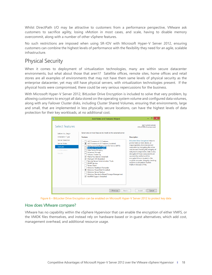Whilst DirectPath I/O may be attractive to customers from a performance perspective, VMware ask customers to sacrifice agility, losing vMotion in most cases, and scale, having to disable memory overcommit, along with a number of other vSphere features.

No such restrictions are imposed when using SR-IOV with Microsoft Hyper-V Server 2012, ensuring customers can combine the highest levels of performance with the flexibility they need for an agile, scalable infrastructure.

### <span id="page-17-0"></span>Physical Security

When it comes to deployment of virtualization technologies, many are within secure datacenter environments, but what about those that aren't? Satellite offices, remote sites, home offices and retail stores are all examples of environments that may not have them same levels of physical security as the enterprise datacenter, yet may still have physical servers, with virtualization technologies present. If the physical hosts were compromised, there could be very serious repercussions for the business.

With Microsoft Hyper-V Server 2012, BitLocker Drive Encryption is included to solve that very problem, by allowing customers to encrypt all data stored on the operating system volume and configured data volumes, along with any Failover Cluster disks, including Cluster Shared Volumes, ensuring that environments, large and small, that are implemented in less physically secure locations, can have the highest levels of data protection for their key workloads, at no additional cost.



Figure 6 – BitLocker Drive Encryption can be enabled on Microsoft Hyper-V Server 2012 to protect key data

#### How does VMware compare?

VMware has no capability within the vSphere Hypervisor that can enable the encryption of either VMFS, or the VMDK files themselves, and instead rely on hardware-based or in-guest alternatives, which add cost, management overhead, and additional resource usage.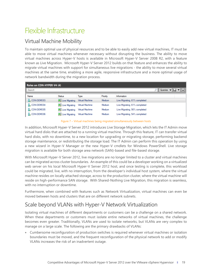# <span id="page-18-0"></span>Flexible Infrastructure

## <span id="page-18-1"></span>Virtual Machine Mobility

To maintain optimal use of physical resources and to be able to easily add new virtual machines, IT must be able to move virtual machines whenever necessary without disrupting the business. The ability to move virtual machines across Hyper-V hosts is available in Microsoft Hyper-V Server 2008 R2, with a feature known as Live Migration. Microsoft Hyper-V Server 2012 builds on that feature and enhances the ability to migrate virtual machines with support for simultaneous live migrations - the ability to move several virtual machines at the same time, enabling a more agile, responsive infrastructure and a more optimal usage of network bandwidth during the migration process.

| Roles on CON-HYPER-V4 (4) |                              |                        |          |                               |                                                                                   |
|---------------------------|------------------------------|------------------------|----------|-------------------------------|-----------------------------------------------------------------------------------|
| Search                    |                              |                        |          |                               | Queries $\blacktriangledown$ $\boxed{\Box}$ $\blacktriangledown$ $\boxed{\smile}$ |
| Name                      | <b>Status</b>                | Type                   | Priority | Information                   |                                                                                   |
| L CON-DEMO03              | Live Migrating               | <b>Virtual Machine</b> | Medium   | Live Migrating, 61% completed |                                                                                   |
| L CON-DEMO04              | <b>State Live Migrating</b>  | <b>Virtual Machine</b> | Medium   | Live Migrating, 61% completed |                                                                                   |
| L CON-DEMO05              | <b>Drive Migrating</b>       | <b>Virtual Machine</b> | Medium   | Live Migrating, 56% completed |                                                                                   |
| L CON-DEMO06              | <b>Only 1</b> Live Migrating | <b>Virtual Machine</b> | Medium   | Live Migrating, 54% completed |                                                                                   |

Figure 7 – Virtual machines being migrated simultaneously between hosts

In addition, Microsoft Hyper-V Server 2012 introduces Live Storage Migration, which lets the IT Admin move virtual hard disks that are attached to a running virtual machine. Through this feature, IT can transfer virtual hard disks, with no downtime, to a new location for upgrading or migrating storage, performing backend storage maintenance, or redistributing the storage load. The IT Admin can perform this operation by using a new wizard in Hyper-V Manager or the new Hyper-V cmdlets for Windows PowerShell. Live storage migration is available for both storage area network (SAN)-based and file-based storage.

With Microsoft Hyper-V Server 2012, live migrations are no longer limited to a cluster and virtual machines can be migrated across cluster boundaries. An example of this could be a developer working on a virtualized web server on his local Microsoft Hyper-V Server 2012 host, and once testing is complete, this workload could be migrated, live, with no interruption, from the developer's individual host system, where the virtual machine resides on locally attached storage, across to the production cluster, where the virtual machine will reside on high-performance SAN storage. With Shared-Nothing Live Migration, this migration is seamless, with no interruption or downtime.

Furthermore, when combined with features such as Network Virtualization, virtual machines can even be moved between hosts and clusters that are on different network subnets.

### <span id="page-18-2"></span>Scale beyond VLANs with Hyper-V Network Virtualization

Isolating virtual machines of different departments or customers can be a challenge on a shared network. When these departments or customers must isolate entire networks of virtual machines, the challenge becomes even greater. Traditionally, VLANs are used to isolate networks, but VLANs are very complex to manage on a large scale. The following are the primary drawbacks of VLANs:

 Cumbersome reconfiguration of production switches is required whenever virtual machines or isolation boundaries must be moved, and the frequent reconfiguration of the physical network to add or modify VLANs increases the risk of an inadvertent outage.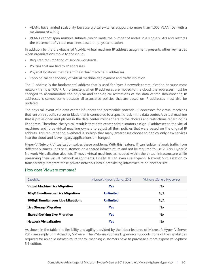- VLANs have limited scalability because typical switches support no more than 1,000 VLAN IDs (with a maximum of 4,095).
- VLANs cannot span multiple subnets, which limits the number of nodes in a single VLAN and restricts the placement of virtual machines based on physical location.

In addition to the drawbacks of VLANs, virtual machine IP address assignment presents other key issues when organizations move to the cloud:

- Required renumbering of service workloads.
- Policies that are tied to IP addresses.
- Physical locations that determine virtual machine IP addresses.
- Topological dependency of virtual machine deployment and traffic isolation.

The IP address is the fundamental address that is used for layer-3 network communication because most network traffic is TCP/IP. Unfortunately, when IP addresses are moved to the cloud, the addresses must be changed to accommodate the physical and topological restrictions of the data center. Renumbering IP addresses is cumbersome because all associated policies that are based on IP addresses must also be updated.

The physical layout of a data center influences the permissible potential IP addresses for virtual machines that run on a specific server or blade that is connected to a specific rack in the data center. A virtual machine that is provisioned and placed in the data center must adhere to the choices and restrictions regarding its IP address. Therefore, the typical result is that data center administrators assign IP addresses to the virtual machines and force virtual machine owners to adjust all their policies that were based on the original IP address. This renumbering overhead is so high that many enterprises choose to deploy only new services into the cloud and leave legacy applications unchanged.

Hyper-V Network Virtualization solves these problems. With this feature, IT can isolate network traffic from different business units or customers on a shared infrastructure and not be required to use VLANs. Hyper-V Network Virtualization also lets IT move virtual machines as needed within the virtual infrastructure while preserving their virtual network assignments. Finally, IT can even use Hyper-V Network Virtualization to transparently integrate these private networks into a preexisting infrastructure on another site.

| Capability                                 | Microsoft Hyper-V Server 2012 | VMware vSphere Hypervisor |
|--------------------------------------------|-------------------------------|---------------------------|
| <b>Virtual Machine Live Migration</b>      | <b>Yes</b>                    | No                        |
| <b>1GigE Simultaneous Live Migrations</b>  | <b>Unlimited</b>              | N/A                       |
| <b>10GigE Simultaneous Live Migrations</b> | <b>Unlimited</b>              | N/A                       |
| Live Storage Migration                     | <b>Yes</b>                    | No                        |
| <b>Shared-Nothing Live Migration</b>       | <b>Yes</b>                    | No                        |
| <b>Network Virtualization</b>              | Yes                           | No                        |

#### How does VMware compare?

As shown in the table, the flexibility and agility provided by the inbox features of Microsoft Hyper-V Server 2012 are simply unmatched by VMware. The VMware vSphere Hypervisor supports none of the capabilities required for an agile infrastructure today, meaning customers have to purchase a more expensive vSphere 5.1 edition.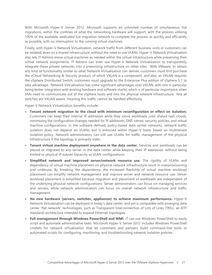With Microsoft Hyper-V Server 2012, Microsoft supports an unlimited number of simultaneous live migrations, within the confines of what the networking hardware will support, with the process utilizing 100% of the available, dedicated live migration network to complete the process as quickly and efficiently as possible, with no interruption to the running virtual machines.

Finally, with Hyper‑V Network Virtualization, network traffic from different business units or customers can be isolated, even on a shared infrastructure, without the need to use VLANs. Hyper-V Network Virtualization also lets IT Admins move virtual machines as needed within the virtual infrastructure while preserving their virtual network assignments. IT Admins can even use Hyper‑V Network Virtualization to transparently integrate these private networks into a preexisting infrastructure on other sites. With VMware, to obtain any kind of functionality similar to what Network Virtualization can deliver, customers must first purchase the vCloud Networking & Security product, of which VXLAN is a component, and also, as VXLAN requires the vSphere Distributed Switch, customers must upgrade to the Enterprise Plus edition of vSphere 5.1 to take advantage. Network Virtualization has some significant advantages over VXLAN, with one in particular being better integration with existing hardware and software stacks, which is of particular importance when VMs need to communicate out of the vSphere hosts and into the physical network infrastructure. Not all switches are VXLAN aware, meaning this traffic cannot be handled effectively.

Hyper-V Network Virtualization benefits include:

- **Tenant network migration to the cloud with minimum reconfiguration or effect on isolation.** Customers can keep their internal IP addresses while they move workloads onto shared IaaS clouds, minimizing the configuration changes needed for IP addresses, DNS names, security policies, and virtual machine configurations. In the software-defined, policy-based data center networks, network traffic isolation does not depend on VLANs, but is enforced within Hyper-V hosts based on multitenant isolation policy. Network administrators can still use VLANs for traffic management of the physical infrastructure if the topology is primarily static.
- **Tenant virtual machine deployment anywhere in the data center.** Services and workloads can be placed or migrated to any server in the data center while keeping their IP addresses, without being limited to physical IP subnet hierarchy or VLAN configurations.
- **Simplified network and improved server/network resource use.** The rigidity of VLANs and dependency of virtual machine placement on physical network infrastructure result in overprovisioning and underuse. By breaking the dependency, the increased flexibility of virtual machine workload placement can simplify network management and improve server and network resource use. Server workload placement is simplified because migration and placement of workloads are independent of the underlying physical network configurations. Server administrators can focus on managing services and servers, while network administrators can focus on overall network infrastructure and traffic management.
- **No new hardware (servers, switches, appliances) to achieve maximum performance.** Hyper-V Network Virtualization can be deployed in today's data center, and yet is compatible with emerging data center "flat network" technologies, such as Transparent Interconnection of Lots of Links (TRILL, an IETF standard) architecture intended to expand Ethernet topologies.
- **Full management through Windows PowerShell and WMI.** IT can use Windows PowerShell to easily script and automate administrative tasks. Microsoft Hyper-V Server 2012 includes Windows PowerShell cmdlets for network virtualization that let customers and partners build command-line tools or automated scripts for configuring, monitoring, and troubleshooting network isolation policies.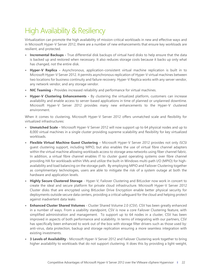# <span id="page-21-0"></span>High Availability & Resiliency

Virtualization can promote the high availability of mission-critical workloads in new and effective ways and in Microsoft Hyper-V Server 2012, there are a number of new enhancements that ensure key workloads are resilient, and protected.

- **Incremental Backups -** True differential disk backups of virtual hard disks to help ensure that the data is backed up and restored when necessary. It also reduces storage costs because it backs up only what has changed, not the entire disk.
- **Hyper-V Replica -** Asynchronous, application-consistent virtual machine replication is built in to Microsoft Hyper-V Server 2012. It permits asynchronous replication of Hyper-V virtual machines between two locations for business continuity and failure recovery. Hyper-V Replica works with any server vendor, any network vendor, and any storage vendor.
- **NIC Teaming -** Provides increased reliability and performance for virtual machines.
- **Hyper-V Clustering Enhancements -** By clustering the virtualized platform, customers can increase availability and enable access to server-based applications in time of planned or unplanned downtime. Microsoft Hyper-V Server 2012 provides many new enhancements to the Hyper-V clustered environment.

When it comes to clustering, Microsoft Hyper-V Server 2012 offers unmatched scale and flexibility for virtualized infrastructures:

- **Unmatched Scale** Microsoft Hyper-V Server 2012 will now support up to 64 physical nodes and up to 8,000 virtual machines in a single cluster providing supreme scalability and flexibility for key virtualized workloads.
- **Flexible Virtual Machine Guest Clustering** Microsoft Hyper-V Server 2012 provides not only iSCSI guest clustering support, including MPIO, but also enables the use of virtual fibre channel adapters within the virtual machine allowing workloads access to storage area networks using fiber channel fabric. In addition, a virtual fibre channel enables IT to cluster guest operating systems over fibre channel providing HA for workloads within VMs and utilize the built-in Windows multi-path I/O (MPIO) for highavailability and load balancing on the storage path. By employing MPIO and Failover Clustering together as complimentary technologies, users are able to mitigate the risk of a system outage at both the hardware and application levels.
- **Highly Secure Clustered Storage** Hyper-V, Failover Clustering and BitLocker now work in concert to create the ideal and secure platform for private cloud infrastructure. Microsoft Hyper-V Server 2012 Cluster disks that are encrypted using BitLocker Drive Encryption enable better physical security for deployments outside secure data centers, providing a critical safeguard for the cloud and helping protect against inadvertent data leaks
- **Enhanced Cluster Shared Volumes** Cluster Shared Volume 2.0 (CSV). CSV has been greatly enhanced in a number of ways. From a usability standpoint, CSV is now a core Failover Clustering feature, with simplified administration and management. To support up to 64 nodes in a cluster, CSV has been improved in aspects of both performance and scalability. In terms of integrating with our partners, CSV has specifically been enhanced to work out of the box with storage filter drivers such as those used by: anti-virus, data protection, backup and storage replication ensuring a more seamless integration with existing investments.
- **3 Levels of Availability** Microsoft Hyper-V Server 2012 and Failover Clustering work together to bring higher availability to workloads that do not support clustering. It does this by providing a light-weight,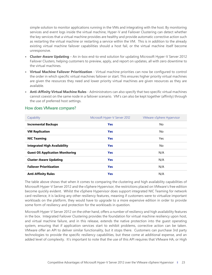simple solution to monitor applications running in the VMs and integrating with the host. By monitoring services and event logs inside the virtual machine, Hyper-V and Failover Clustering can detect whether the key services that a virtual machine provides are healthy and provide automatic corrective action such as restarting the virtual machine or restarting a service within the VM. This is in addition to the already existing virtual machine failover capabilities should a host fail, or the virtual machine itself become unresponsive.

- **Cluster-Aware Updating** An in-box end-to-end solution for updating Microsoft Hyper-V Server 2012 Failover Clusters, helping customers to preview, apply, and report on updates, all with zero downtime to the virtual machines.
- **Virtual Machine Failover Prioritization** Virtual machine priorities can now be configured to control the order in which specific virtual machines failover or start. This ensures higher priority virtual machines are given the resources they need and lower priority virtual machines are given resources as they are available.
- **Anti-Affinity Virtual Machine Rules** Administrators can also specify that two specific virtual machines cannot coexist on the same node in a failover scenario. VM's can also be kept together (affinity) through the use of preferred host settings.

| Capability                             | Microsoft Hyper-V Server 2012 | VMware vSphere Hypervisor |
|----------------------------------------|-------------------------------|---------------------------|
| <b>Incremental Backups</b>             | <b>Yes</b>                    | No                        |
| <b>VM Replication</b>                  | <b>Yes</b>                    | <b>No</b>                 |
| <b>NIC Teaming</b>                     | <b>Yes</b>                    | Yes                       |
| <b>Integrated High Availability</b>    | <b>Yes</b>                    | <b>No</b>                 |
| <b>Guest OS Application Monitoring</b> | <b>Yes</b>                    | N/A                       |
| <b>Cluster-Aware Updating</b>          | <b>Yes</b>                    | N/A                       |
| <b>Failover Prioritization</b>         | <b>Yes</b>                    | N/A                       |
| <b>Anti-Affinity Rules</b>             | <b>Yes</b>                    | N/A                       |

#### How does VMware compare?

The table above shows that when it comes to comparing the clustering and high availability capabilities of Microsoft Hyper-V Server 2012 and the vSphere Hypervisor, the restrictions placed on VMware's free edition become quickly evident. Whilst the vSphere Hypervisor does support integrated NIC Teaming for network card resilience, it is lacking any other resiliency features, meaning if customers were to virtualize important workloads on the platform, they would have to upgrade to a more expensive edition in order to provide some form of resiliency and protection for the workloads in question.

Microsoft Hyper-V Server 2012 on the other hand, offers a number of resiliency and high availability features in the box. Integrated Failover Clustering provides the foundation for virtual machine resiliency upon host, and virtual machine failure, and in this release, extends the native protection into the guest operating system, ensuring that if application services start to exhibit problems, corrective action can be taken. VMware offer an API to deliver similar functionality, but it stops there. Customers can purchase 3rd party technologies to provide the specific resiliency capabilities, but these come at additional expense, and an added level of complexity. It's important to note that the use of this API requires that VMware HA, or High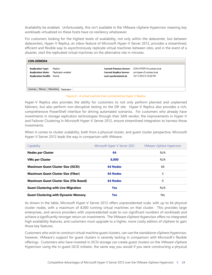Availability be enabled. Unfortunately, this isn't available in the VMware vSphere Hypervisor meaning key workloads virtualized on these hosts have no resiliency whatsoever.

For customers looking for the highest levels of availability, not only within the datacenter, but between datacenters, Hyper-V Replica, an inbox feature of Microsoft Hyper-V Server 2012, provides a streamlined, efficient and flexible way to asynchronously replicate virtual machines between sites, and in the event of a disaster, start the replicated virtual machines on the alternative site in minutes.

| <b>CON-DEMO04</b>                                                                                             |         |                                                                             |                                                                             |  |
|---------------------------------------------------------------------------------------------------------------|---------|-----------------------------------------------------------------------------|-----------------------------------------------------------------------------|--|
| <b>Replication Type:</b><br><b>Replication State:</b> Replication enabled<br><b>Replication Health: Nomal</b> | Replica | Current Replica Server: con-hyper-v5.contoso.local<br>Last synchronized at: | Current Primary Server: CON-HYPER-V4.contoso.local<br>10/11/2012 5:18:26 PM |  |
| Summary   Memory   Networking   Replication                                                                   |         |                                                                             |                                                                             |  |



Hyper-V Replica also provides the ability for customers to not only perform planned and unplanned failovers, but also perform non-disruptive testing on the DR site. Hyper-V Replica also provides a rich, comprehensive PowerShell interface for driving automated scenarios. For customers who already have investments in storage replication technologies through their SAN vendor, the improvements in Hyper-V and Failover Clustering in Microsoft Hyper-V Server 2012, ensure streamlined integration to harness those investments.

When it comes to cluster scalability, both from a physical cluster, and guest cluster perspective, Microsoft Hyper-V Server 2012 leads the way in comparison with VMware:

| Capability                                     | Microsoft Hyper-V Server 2012 | VMware vSphere Hypervisor |
|------------------------------------------------|-------------------------------|---------------------------|
| <b>Nodes per Cluster</b>                       | 64                            | N/A                       |
| <b>VMs per Cluster</b>                         | 8.000                         | N/A                       |
| <b>Maximum Guest Cluster Size (iSCSI)</b>      | <b>64 Nodes</b>               | 64                        |
| <b>Maximum Guest Cluster Size (Fiber)</b>      | <b>64 Nodes</b>               | 5                         |
| <b>Maximum Guest Cluster Size (File Based)</b> | <b>64 Nodes</b>               | $\Omega$                  |
| <b>Guest Clustering with Live Migration</b>    | <b>Yes</b>                    | N/A                       |
| <b>Guest Clustering with Dynamic Memory</b>    | <b>Yes</b>                    | No                        |

As shown in the table, Microsoft Hyper-V Server 2012 offers unprecedented scale, with up to 64 physical cluster nodes, with a maximum of 8,000 running virtual machines on that cluster. This provides large enterprises, and service providers with unprecedented scale to run significant numbers of workloads and achieve a significantly stronger return on investments. The VMware vSphere Hypervisor offers no integrated high availability features, and customers must upgrade to a higher, more costly edition of vSphere to gain those key features.

Customers who wish to construct virtual machine guest clusters, can use the standalone vSphere Hypervisor, however, VMware's support for guest clusters is severely lacking in comparison with Microsoft's flexible offerings. Customers who have invested in iSCSI storage can create guest clusters on the VMware vSphere Hypervisor using the in-guest iSCSI initiator, the same way you would if you were constructing a physical